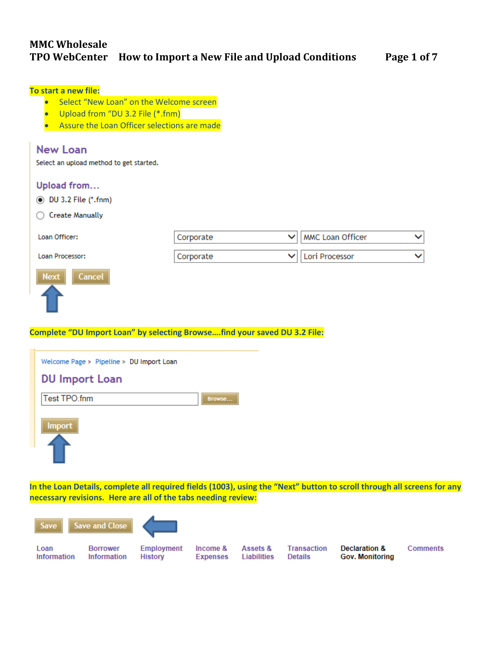### **MMC Wholesale TPO WebCenter How to Import a New File and Upload Conditions Page 1 of 7**

| Upload from "DU 3.2 File (*.fnm)<br>Assure the Loan Officer selections are made |                           |                                |  |
|---------------------------------------------------------------------------------|---------------------------|--------------------------------|--|
| <b>New Loan</b><br>Select an upload method to get started.                      |                           |                                |  |
| Upload from                                                                     |                           |                                |  |
| DU 3.2 File (*.fnm)<br>$\odot$                                                  |                           |                                |  |
| <b>Create Manually</b>                                                          |                           |                                |  |
| Loan Officer:                                                                   | Corporate<br>$\checkmark$ | MMC Loan Officer<br>◡          |  |
| Loan Processor:                                                                 | Corporate<br>$\checkmark$ | Lori Processor<br>$\checkmark$ |  |
| <b>Next</b><br>Cancel                                                           |                           |                                |  |

#### **Complete "DU Import Loan" by selecting Browse….find your saved DU 3.2 File:**



**To start a new file:**

**•** Select "New Loan" on the Welcome screen

**In the Loan Details, complete all required fields (1003), using the "Next" button to scroll through all screens for any necessary revisions. Here are all of the tabs needing review:**

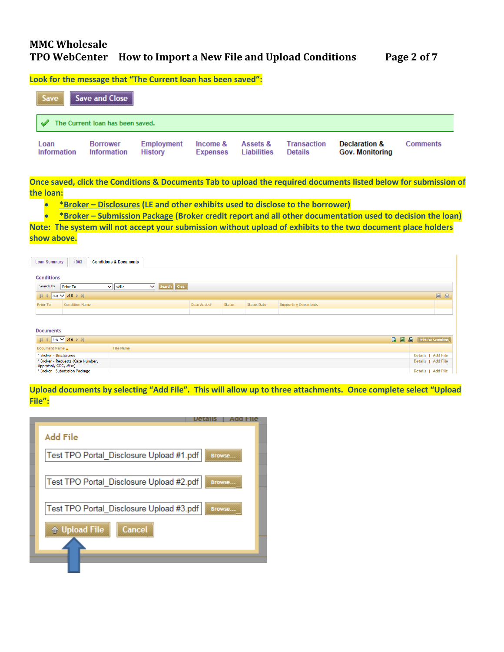**Look for the message that "The Current loan has been saved":**

| Save<br>Save and Close |                                       |                                     |                             |                                |                                      |                                         |          |  |  |
|------------------------|---------------------------------------|-------------------------------------|-----------------------------|--------------------------------|--------------------------------------|-----------------------------------------|----------|--|--|
|                        | The Current loan has been saved.      |                                     |                             |                                |                                      |                                         |          |  |  |
| Loan<br>Information    | <b>Borrower</b><br><b>Information</b> | <b>Employment</b><br><b>History</b> | Income &<br><b>Expenses</b> | Assets &<br><b>Liabilities</b> | <b>Transaction</b><br><b>Details</b> | Declaration &<br><b>Gov. Monitoring</b> | Comments |  |  |

**Once saved, click the Conditions & Documents Tab to upload the required documents listed below for submission of the loan:**

- **\*Broker – Disclosures (LE and other exhibits used to disclose to the borrower)**
- **\*Broker – Submission Package (Broker credit report and all other documentation used to decision the loan)**

**Note: The system will not accept your submission without upload of exhibits to the two document place holders show above.**

| 1003<br><b>Loan Summary</b>                                  | <b>Conditions &amp; Documents</b>    |            |               |                    |                             |                                                  |
|--------------------------------------------------------------|--------------------------------------|------------|---------------|--------------------|-----------------------------|--------------------------------------------------|
| <b>Conditions</b>                                            |                                      |            |               |                    |                             |                                                  |
|                                                              |                                      |            |               |                    |                             |                                                  |
| Search By<br><b>Prior To</b>                                 | V Search Clear<br>$\vee$ $\leq$ All> |            |               |                    |                             |                                                  |
| $\vert 0.0 \vee \vert$ of $0 \nvDash \mathbb{N}$<br>$R$ 4    |                                      |            |               |                    |                             | $\mathbb R$<br>$\triangleq$                      |
| <b>Condition Name</b><br><b>Prior To</b>                     |                                      | Date Added | <b>Status</b> | <b>Status Date</b> | <b>Supporting Documents</b> |                                                  |
|                                                              |                                      |            |               |                    |                             |                                                  |
| <b>Documents</b>                                             |                                      |            |               |                    |                             |                                                  |
| $\mathbb{N}$ 4 1.6 $\vee$ of 6 $\triangleright$ $\mathbb{N}$ |                                      |            |               |                    |                             | $\triangle$<br>38<br><b>Print Fax Coversheet</b> |
| Document Name A                                              | <b>File Name</b>                     |            |               |                    |                             |                                                  |
| * Broker - Disclosures                                       |                                      |            |               |                    |                             | Details   Add File                               |
| * Broker - Requests (Case Number,<br>Appraisal, COC, Misc)   |                                      |            |               |                    |                             | Details   Add File                               |
| * Broker - Submission Package                                |                                      |            |               |                    |                             | Details   Add File                               |

**Upload documents by selecting "Add File". This will allow up to three attachments. Once complete select "Upload File":**

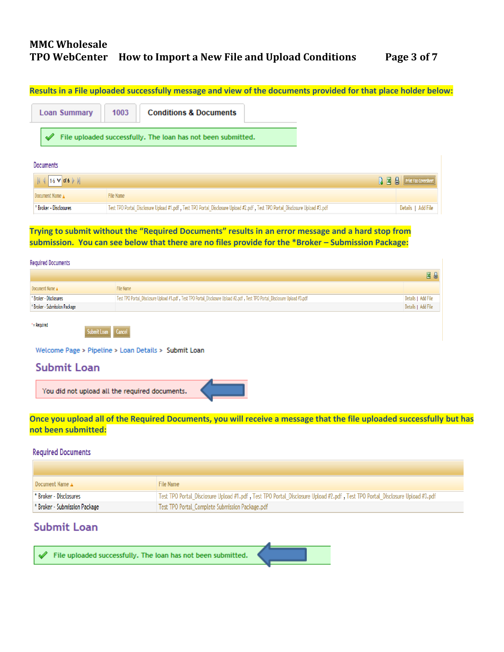# **MMC Wholesale TPO WebCenter How to Import a New File and Upload Conditions Page 3 of 7**

**Results in a File uploaded successfully message and view of the documents provided for that place holder below:**



| $\mathbb{N}$ 4 1-6 $\vee$ of 6 $\triangleright$ $\mathbb{N}$ |                                                                                                                              | <b>E E</b> Print Fax Coversheet |
|--------------------------------------------------------------|------------------------------------------------------------------------------------------------------------------------------|---------------------------------|
| Document Name                                                | File Name                                                                                                                    |                                 |
| * Broker - Disclosures                                       | Test TPO Portal Disclosure Upload #1.pdf, Test TPO Portal Disclosure Upload #2.pdf, Test TPO Portal Disclosure Upload #3.pdf | Details   Add File              |

**Trying to submit without the "Required Documents" results in an error message and a hard stop from submission. You can see below that there are no files provide for the \*Broker – Submission Package:**

| <b>Required Documents</b>     |                                                                                                                                |                    |
|-------------------------------|--------------------------------------------------------------------------------------------------------------------------------|--------------------|
|                               |                                                                                                                                | 国昌                 |
| Document Name A               | File Name                                                                                                                      |                    |
| * Broker - Disclosures        | Test TPO Portal Disclosure Upload #1.pdf , Test TPO Portal Disclosure Upload #2.pdf , Test TPO Portal Disclosure Upload #3.pdf | Details   Add File |
| * Broker - Submission Package |                                                                                                                                | Details   Add File |
| *= Required                   | Submit Loan Cancel                                                                                                             |                    |

Welcome Page > Pipeline > Loan Details > Submit Loan

# **Submit Loan**

You did not upload all the required documents.

**Once you upload all of the Required Documents, you will receive a message that the file uploaded successfully but has not been submitted:**

#### **Required Documents**

| Document Name A               | File Name                                                                                                                      |
|-------------------------------|--------------------------------------------------------------------------------------------------------------------------------|
| * Broker - Disclosures        | Test TPO Portal Disclosure Upload #1.pdf , Test TPO Portal Disclosure Upload #2.pdf , Test TPO Portal Disclosure Upload #3.pdf |
| * Broker - Submission Package | Test TPO Portal Complete Submission Package.pdf                                                                                |

# **Submit Loan**

File uploaded successfully. The loan has not been submitted.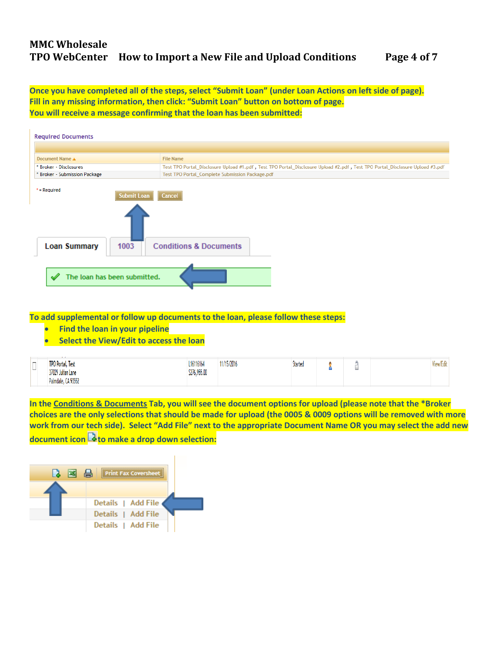# **MMC Wholesale TPO WebCenter How to Import a New File and Upload Conditions Page 4 of 7**

**Once you have completed all of the steps, select "Submit Loan" (under Loan Actions on left side of page). Fill in any missing information, then click: "Submit Loan" button on bottom of page. You will receive a message confirming that the loan has been submitted:**



**To add supplemental or follow up documents to the loan, please follow these steps:**

- **•** Find the loan in your pipeline
- **Select the View/Edit to access the loan**

| $\sim$                     | TPO Portal, Test   | L16116164    | 11/15/2016 | Started |     | $\mathbf{r}$ and $\mathbf{r}$<br>$\mathbf{r}$<br>View/Łdit |
|----------------------------|--------------------|--------------|------------|---------|-----|------------------------------------------------------------|
| <b>Service Controllers</b> | 37029 Julian Lane  | \$276,955.00 |            |         | $-$ |                                                            |
|                            | Palmdale, CA 93552 |              |            |         |     |                                                            |

**In the Conditions & Documents Tab, you will see the document options for upload (please note that the \*Broker choices are the only selections that should be made for upload (the 0005 & 0009 options will be removed with more work from our tech side). Select "Add File" next to the appropriate Document Name OR you may select the add new document icon to make a drop down selection:**

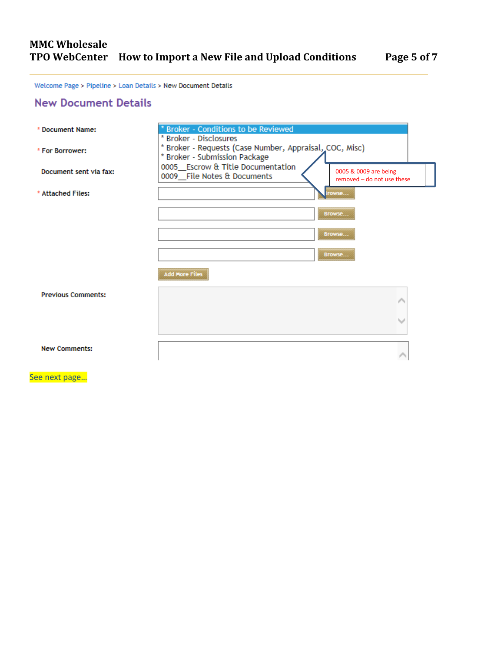Welcome Page > Pipeline > Loan Details > New Document Details

### **New Document Details**

| * Document Name:          | * Broker - Conditions to be Reviewed                                                                                    |  |
|---------------------------|-------------------------------------------------------------------------------------------------------------------------|--|
| * For Borrower:           | * Broker - Disclosures<br>* Broker - Requests (Case Number, Appraisal, COC, Misc)<br>* Broker - Submission Package      |  |
| Document sent via fax:    | 0005 Escrow & Title Documentation<br>0005 & 0009 are being<br>0009 File Notes & Documents<br>removed - do not use these |  |
| * Attached Files:         | owse                                                                                                                    |  |
|                           | Browse                                                                                                                  |  |
|                           | Browse                                                                                                                  |  |
|                           | Browse                                                                                                                  |  |
|                           | Add More Files                                                                                                          |  |
| <b>Previous Comments:</b> | Α                                                                                                                       |  |
|                           | r                                                                                                                       |  |
| <b>New Comments:</b>      |                                                                                                                         |  |

See next page…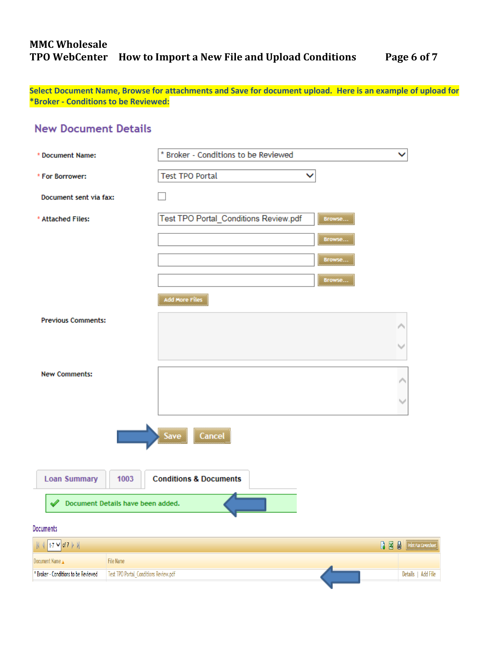### **MMC Wholesale TPO WebCenter How to Import a New File and Upload Conditions Page 6 of 7**

**Select Document Name, Browse for attachments and Save for document upload. Here is an example of upload for \*Broker - Conditions to be Reviewed:**

# **New Document Details**

| * Document Name:                                             | * Broker - Conditions to be Reviewed            | ◡                                           |
|--------------------------------------------------------------|-------------------------------------------------|---------------------------------------------|
| * For Borrower:                                              | <b>Test TPO Portal</b><br>▽                     |                                             |
| Document sent via fax:                                       |                                                 |                                             |
| * Attached Files:                                            | Test TPO Portal_Conditions Review.pdf<br>Browse |                                             |
|                                                              | Browse                                          |                                             |
|                                                              | Browse                                          |                                             |
|                                                              | Browse                                          |                                             |
|                                                              | <b>Add More Files</b>                           |                                             |
| <b>Previous Comments:</b>                                    |                                                 | ⌒                                           |
|                                                              |                                                 |                                             |
|                                                              |                                                 |                                             |
| <b>New Comments:</b>                                         |                                                 |                                             |
|                                                              |                                                 |                                             |
|                                                              | Cancel<br>Save                                  |                                             |
| <b>Loan Summary</b>                                          | <b>Conditions &amp; Documents</b><br>1003       |                                             |
| $\mathscr{Q}$                                                | Document Details have been added.               |                                             |
| Documents                                                    |                                                 |                                             |
| $\mathbb{N}$ 4 1-7 $\vee$ of 7 $\triangleright$ $\mathbb{N}$ |                                                 | $A \times B$<br><b>Print Fax Coversheet</b> |
| Document Name $\triangle$                                    | File Name                                       |                                             |
| * Broker - Conditions to be Reviewed                         | Test TPO Portal_Conditions Review.pdf           | Details   Add File                          |